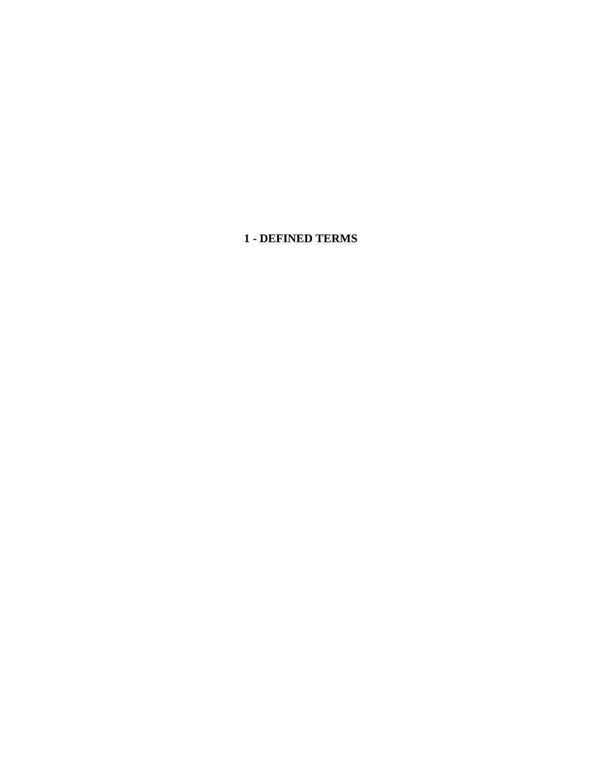**1 - DEFINED TERMS**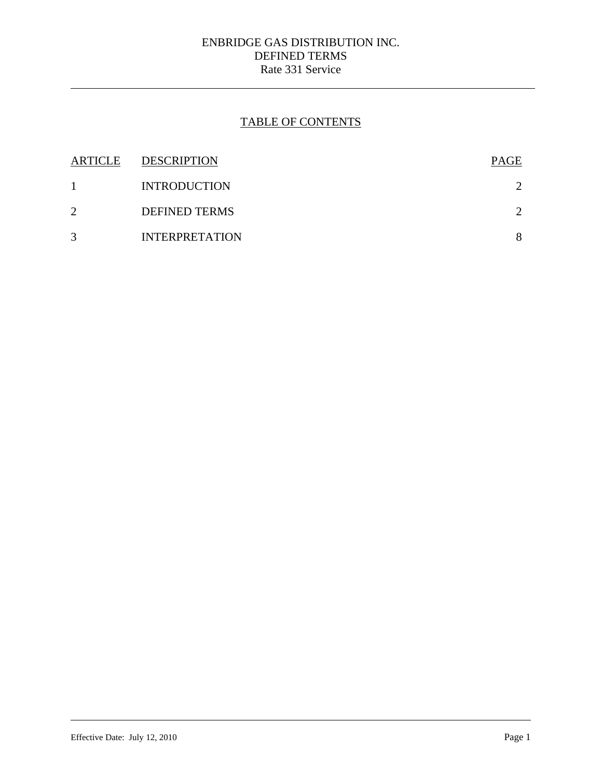## ENBRIDGE GAS DISTRIBUTION INC. DEFINED TERMS Rate 331 Service

# TABLE OF CONTENTS

| <b>ARTICLE</b> | <b>DESCRIPTION</b>    | PAGE |
|----------------|-----------------------|------|
|                | <b>INTRODUCTION</b>   |      |
| 2              | <b>DEFINED TERMS</b>  |      |
| 3              | <b>INTERPRETATION</b> | 8    |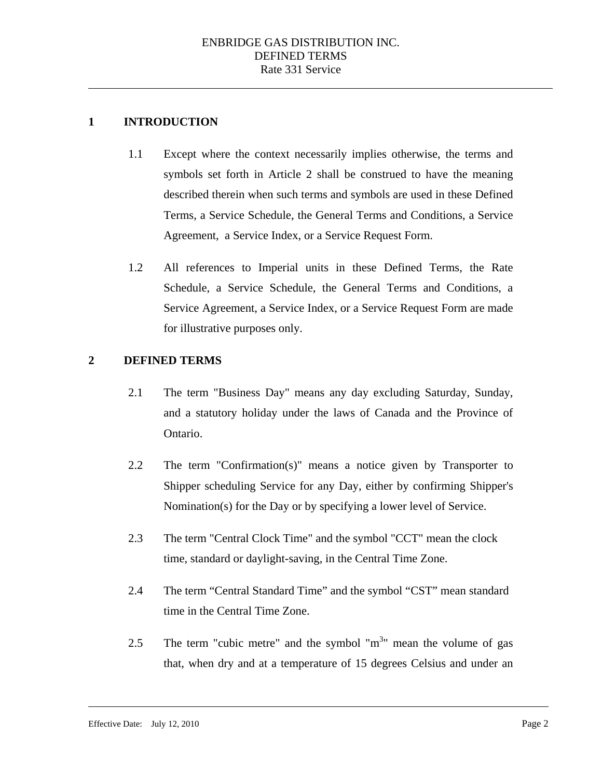### **1 INTRODUCTION**

- 1.1 Except where the context necessarily implies otherwise, the terms and symbols set forth in Article 2 shall be construed to have the meaning described therein when such terms and symbols are used in these Defined Terms, a Service Schedule, the General Terms and Conditions, a Service Agreement, a Service Index, or a Service Request Form.
- 1.2 All references to Imperial units in these Defined Terms, the Rate Schedule, a Service Schedule, the General Terms and Conditions, a Service Agreement, a Service Index, or a Service Request Form are made for illustrative purposes only.

### **2 DEFINED TERMS**

- 2.1 The term "Business Day" means any day excluding Saturday, Sunday, and a statutory holiday under the laws of Canada and the Province of Ontario.
- 2.2 The term "Confirmation(s)" means a notice given by Transporter to Shipper scheduling Service for any Day, either by confirming Shipper's Nomination(s) for the Day or by specifying a lower level of Service.
- 2.3 The term "Central Clock Time" and the symbol "CCT" mean the clock time, standard or daylight-saving, in the Central Time Zone.
- 2.4 The term "Central Standard Time" and the symbol "CST" mean standard time in the Central Time Zone.
- 2.5 The term "cubic metre" and the symbol " $m<sup>3</sup>$ " mean the volume of gas that, when dry and at a temperature of 15 degrees Celsius and under an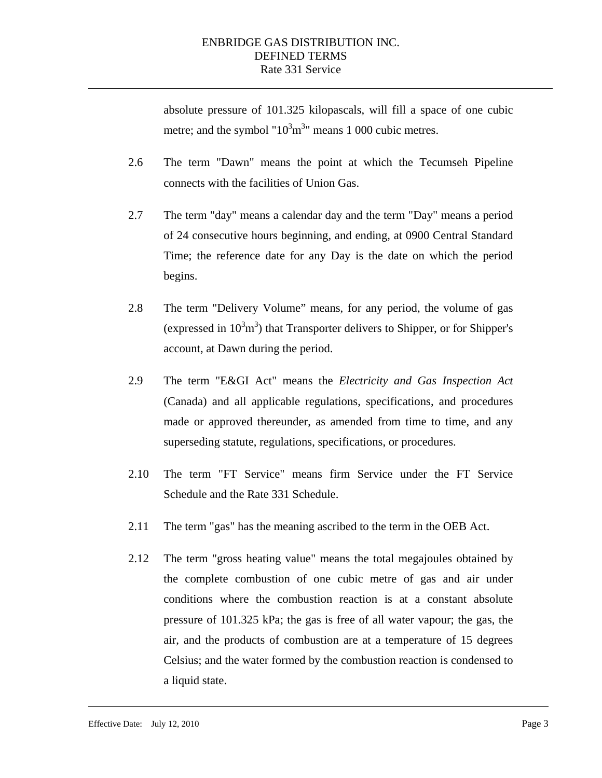absolute pressure of 101.325 kilopascals, will fill a space of one cubic metre; and the symbol " $10<sup>3</sup>m<sup>3</sup>$ " means 1 000 cubic metres.

- 2.6 The term "Dawn" means the point at which the Tecumseh Pipeline connects with the facilities of Union Gas.
- 2.7 The term "day" means a calendar day and the term "Day" means a period of 24 consecutive hours beginning, and ending, at 0900 Central Standard Time; the reference date for any Day is the date on which the period begins.
- 2.8 The term "Delivery Volume" means, for any period, the volume of gas (expressed in  $10<sup>3</sup>m<sup>3</sup>$ ) that Transporter delivers to Shipper, or for Shipper's account, at Dawn during the period.
- 2.9 The term "E&GI Act" means the *Electricity and Gas Inspection Act*  (Canada) and all applicable regulations, specifications, and procedures made or approved thereunder, as amended from time to time, and any superseding statute, regulations, specifications, or procedures.
- 2.10 The term "FT Service" means firm Service under the FT Service Schedule and the Rate 331 Schedule.
- 2.11 The term "gas" has the meaning ascribed to the term in the OEB Act.
- 2.12 The term "gross heating value" means the total megajoules obtained by the complete combustion of one cubic metre of gas and air under conditions where the combustion reaction is at a constant absolute pressure of 101.325 kPa; the gas is free of all water vapour; the gas, the air, and the products of combustion are at a temperature of 15 degrees Celsius; and the water formed by the combustion reaction is condensed to a liquid state.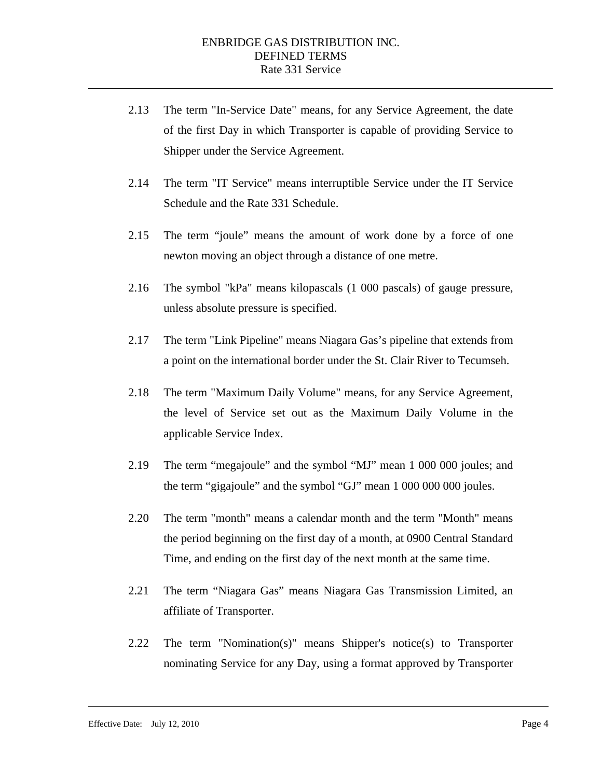- 2.13 The term "In-Service Date" means, for any Service Agreement, the date of the first Day in which Transporter is capable of providing Service to Shipper under the Service Agreement.
- 2.14 The term "IT Service" means interruptible Service under the IT Service Schedule and the Rate 331 Schedule.
- 2.15 The term "joule" means the amount of work done by a force of one newton moving an object through a distance of one metre.
- 2.16 The symbol "kPa" means kilopascals (1 000 pascals) of gauge pressure, unless absolute pressure is specified.
- 2.17 The term "Link Pipeline" means Niagara Gas's pipeline that extends from a point on the international border under the St. Clair River to Tecumseh.
- 2.18 The term "Maximum Daily Volume" means, for any Service Agreement, the level of Service set out as the Maximum Daily Volume in the applicable Service Index.
- 2.19 The term "megajoule" and the symbol "MJ" mean 1 000 000 joules; and the term "gigajoule" and the symbol "GJ" mean 1 000 000 000 joules.
- 2.20 The term "month" means a calendar month and the term "Month" means the period beginning on the first day of a month, at 0900 Central Standard Time, and ending on the first day of the next month at the same time.
- 2.21 The term "Niagara Gas" means Niagara Gas Transmission Limited, an affiliate of Transporter.
- 2.22 The term "Nomination(s)" means Shipper's notice(s) to Transporter nominating Service for any Day, using a format approved by Transporter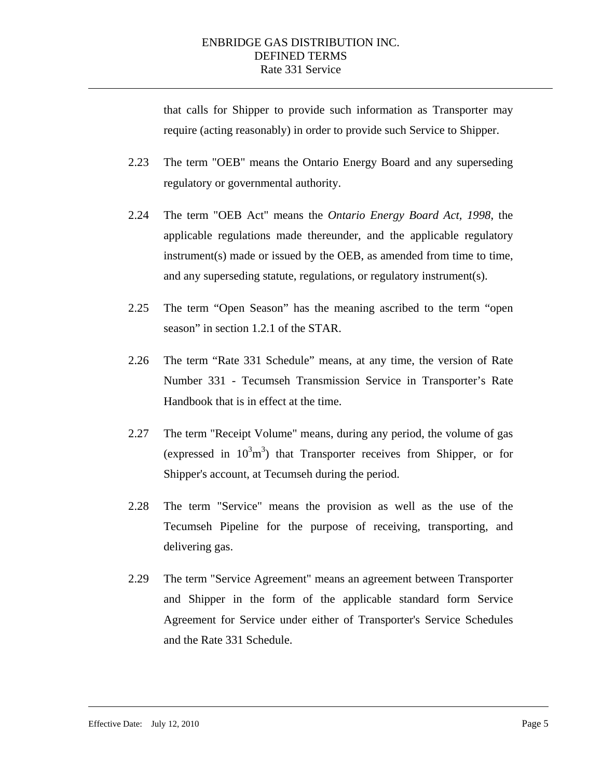that calls for Shipper to provide such information as Transporter may require (acting reasonably) in order to provide such Service to Shipper.

- 2.23 The term "OEB" means the Ontario Energy Board and any superseding regulatory or governmental authority.
- 2.24 The term "OEB Act" means the *Ontario Energy Board Act, 1998*, the applicable regulations made thereunder, and the applicable regulatory instrument(s) made or issued by the OEB, as amended from time to time, and any superseding statute, regulations, or regulatory instrument(s).
- 2.25 The term "Open Season" has the meaning ascribed to the term "open season" in section 1.2.1 of the STAR.
- 2.26 The term "Rate 331 Schedule" means, at any time, the version of Rate Number 331 - Tecumseh Transmission Service in Transporter's Rate Handbook that is in effect at the time.
- 2.27 The term "Receipt Volume" means, during any period, the volume of gas (expressed in  $10^3$ m<sup>3</sup>) that Transporter receives from Shipper, or for Shipper's account, at Tecumseh during the period.
- 2.28 The term "Service" means the provision as well as the use of the Tecumseh Pipeline for the purpose of receiving, transporting, and delivering gas.
- 2.29 The term "Service Agreement" means an agreement between Transporter and Shipper in the form of the applicable standard form Service Agreement for Service under either of Transporter's Service Schedules and the Rate 331 Schedule.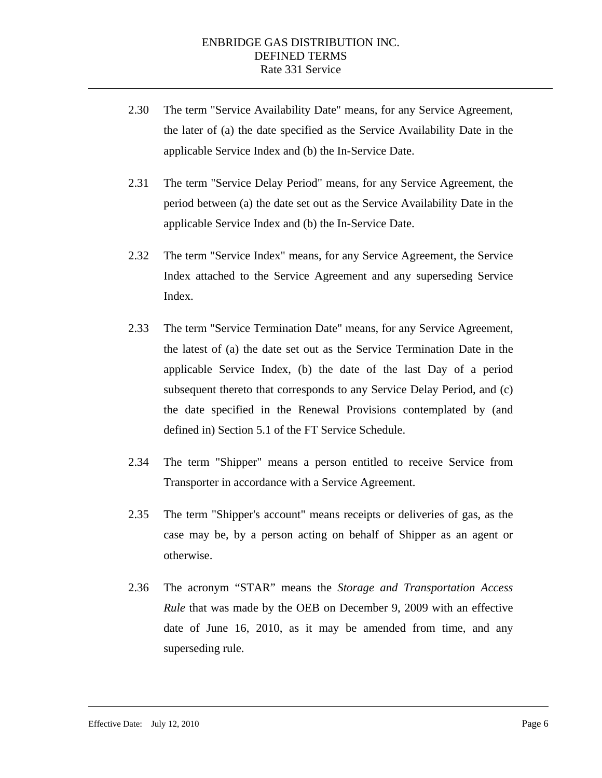- 2.30 The term "Service Availability Date" means, for any Service Agreement, the later of (a) the date specified as the Service Availability Date in the applicable Service Index and (b) the In-Service Date.
- 2.31 The term "Service Delay Period" means, for any Service Agreement, the period between (a) the date set out as the Service Availability Date in the applicable Service Index and (b) the In-Service Date.
- 2.32 The term "Service Index" means, for any Service Agreement, the Service Index attached to the Service Agreement and any superseding Service Index.
- 2.33 The term "Service Termination Date" means, for any Service Agreement, the latest of (a) the date set out as the Service Termination Date in the applicable Service Index, (b) the date of the last Day of a period subsequent thereto that corresponds to any Service Delay Period, and (c) the date specified in the Renewal Provisions contemplated by (and defined in) Section 5.1 of the FT Service Schedule.
- 2.34 The term "Shipper" means a person entitled to receive Service from Transporter in accordance with a Service Agreement.
- 2.35 The term "Shipper's account" means receipts or deliveries of gas, as the case may be, by a person acting on behalf of Shipper as an agent or otherwise.
- 2.36 The acronym "STAR" means the *Storage and Transportation Access Rule* that was made by the OEB on December 9, 2009 with an effective date of June 16, 2010, as it may be amended from time, and any superseding rule.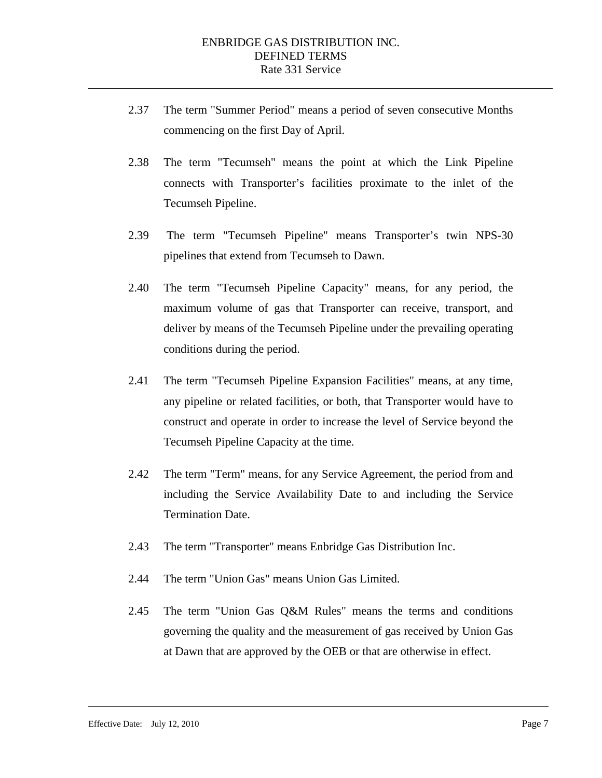- 2.37 The term "Summer Period" means a period of seven consecutive Months commencing on the first Day of April.
- 2.38 The term "Tecumseh" means the point at which the Link Pipeline connects with Transporter's facilities proximate to the inlet of the Tecumseh Pipeline.
- 2.39 The term "Tecumseh Pipeline" means Transporter's twin NPS-30 pipelines that extend from Tecumseh to Dawn.
- 2.40 The term "Tecumseh Pipeline Capacity" means, for any period, the maximum volume of gas that Transporter can receive, transport, and deliver by means of the Tecumseh Pipeline under the prevailing operating conditions during the period.
- 2.41 The term "Tecumseh Pipeline Expansion Facilities" means, at any time, any pipeline or related facilities, or both, that Transporter would have to construct and operate in order to increase the level of Service beyond the Tecumseh Pipeline Capacity at the time.
- 2.42 The term "Term" means, for any Service Agreement, the period from and including the Service Availability Date to and including the Service Termination Date.
- 2.43 The term "Transporter" means Enbridge Gas Distribution Inc.
- 2.44 The term "Union Gas" means Union Gas Limited.
- 2.45 The term "Union Gas Q&M Rules" means the terms and conditions governing the quality and the measurement of gas received by Union Gas at Dawn that are approved by the OEB or that are otherwise in effect.